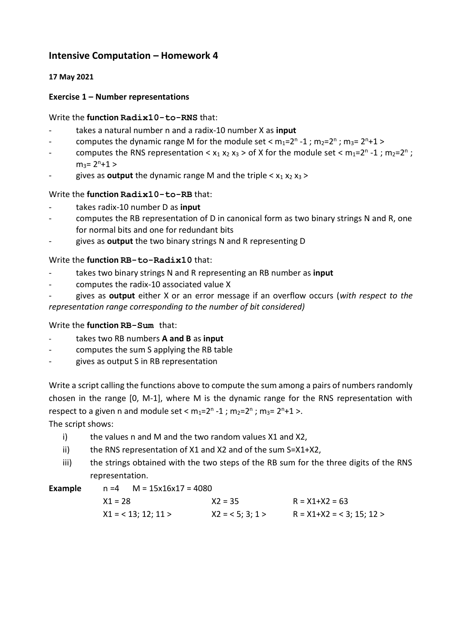# **Intensive Computation – Homework 4**

### **17 May 2021**

## **Exercise 1 – Number representations**

#### Write the **function Radix10-to-RNS** that:

- takes a natural number n and a radix-10 number X as **input**
- computes the dynamic range M for the module set <  $m_1=2^n 1$ ;  $m_2=2^n$ ;  $m_3=2^n+1$  >
- computes the RNS representation <  $x_1 x_2 x_3$  > of X for the module set <  $m_1=2^n 1$ ;  $m_2=2^n$ ;  $m_3 = 2^n + 1$
- gives as **output** the dynamic range M and the triple  $\langle x_1 x_2 x_3 \rangle$

## Write the **function Radix10-to-RB** that:

- takes radix-10 number D as **input**
- computes the RB representation of D in canonical form as two binary strings N and R, one for normal bits and one for redundant bits
- gives as **output** the two binary strings N and R representing D

#### Write the **function RB-to-Radix10** that:

- takes two binary strings N and R representing an RB number as **input**
- computes the radix-10 associated value X
- gives as **output** either X or an error message if an overflow occurs (*with respect to the representation range corresponding to the number of bit considered)*

#### Write the **function RB-Sum** that:

- takes two RB numbers **A and B** as **input**
- computes the sum S applying the RB table
- gives as output S in RB representation

Write a script calling the functions above to compute the sum among a pairs of numbers randomly chosen in the range [0, M-1], where M is the dynamic range for the RNS representation with respect to a given n and module set <  $m_1 = 2^n - 1$  ;  $m_2 = 2^n$  ;  $m_3 = 2^n + 1$  >.

The script shows:

- i) the values n and M and the two random values X1 and X2,
- ii) the RNS representation of X1 and X2 and of the sum S=X1+X2,
- iii) the strings obtained with the two steps of the RB sum for the three digits of the RNS representation.

| <b>Example</b> |  |
|----------------|--|
|----------------|--|

**Example** n =4 M = 15x16x17 = 4080

| $X1 = 28$             | $X2 = 35$         | $R = X1+X2 = 63$           |
|-----------------------|-------------------|----------------------------|
| $X1 = 513$ ; 12; 11 > | $X2 = 5$ ; 3; 1 > | $R = X1+X2 = 3$ ; 15; 12 > |